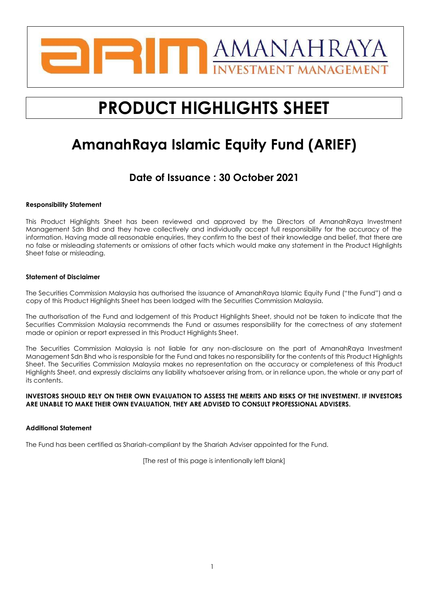

# **PRODUCT HIGHLIGHTS SHEET**

## **AmanahRaya Islamic Equity Fund (ARIEF)**

## **Date of Issuance : 30 October 2021**

#### **Responsibility Statement**

This Product Highlights Sheet has been reviewed and approved by the Directors of AmanahRaya Investment Management Sdn Bhd and they have collectively and individually accept full responsibility for the accuracy of the information. Having made all reasonable enquiries, they confirm to the best of their knowledge and belief, that there are no false or misleading statements or omissions of other facts which would make any statement in the Product Highlights Sheet false or misleading.

#### **Statement of Disclaimer**

The Securities Commission Malaysia has authorised the issuance of AmanahRaya Islamic Equity Fund ("the Fund") and a copy of this Product Highlights Sheet has been lodged with the Securities Commission Malaysia.

The authorisation of the Fund and lodgement of this Product Highlights Sheet, should not be taken to indicate that the Securities Commission Malaysia recommends the Fund or assumes responsibility for the correctness of any statement made or opinion or report expressed in this Product Highlights Sheet.

The Securities Commission Malaysia is not liable for any non-disclosure on the part of AmanahRaya Investment Management Sdn Bhd who is responsible for the Fund and takes no responsibility for the contents of this Product Highlights Sheet. The Securities Commission Malaysia makes no representation on the accuracy or completeness of this Product Highlights Sheet, and expressly disclaims any liability whatsoever arising from, or in reliance upon, the whole or any part of its contents.

#### **INVESTORS SHOULD RELY ON THEIR OWN EVALUATION TO ASSESS THE MERITS AND RISKS OF THE INVESTMENT. IF INVESTORS ARE UNABLE TO MAKE THEIR OWN EVALUATION, THEY ARE ADVISED TO CONSULT PROFESSIONAL ADVISERS.**

#### **Additional Statement**

The Fund has been certified as Shariah-compliant by the Shariah Adviser appointed for the Fund.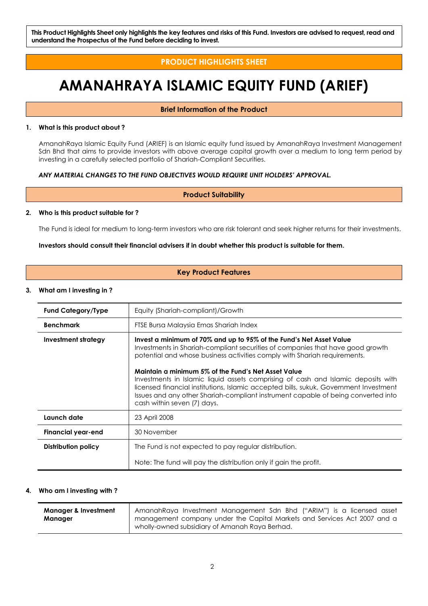**This Product Highlights Sheet only highlights the key features and risks of this Fund. Investors are advised to request, read and understand the Prospectus of the Fund before deciding to invest.**

## **PRODUCT HIGHLIGHTS SHEET**

## **AMANAHRAYA ISLAMIC EQUITY FUND (ARIEF)**

#### **Brief Information of the Product**

#### **1. What is this product about ?**

AmanahRaya Islamic Equity Fund (ARIEF) is an Islamic equity fund issued by AmanahRaya Investment Management Sdn Bhd that aims to provide investors with above average capital growth over a medium to long term period by investing in a carefully selected portfolio of Shariah-Compliant Securities.

#### *ANY MATERIAL CHANGES TO THE FUND OBJECTIVES WOULD REQUIRE UNIT HOLDERS' APPROVAL.*

**Product Suitability**

#### **2. Who is this product suitable for ?**

The Fund is ideal for medium to long-term investors who are risk tolerant and seek higher returns for their investments.

#### **Investors should consult their financial advisers if in doubt whether this product is suitable for them.**

#### **Key Product Features**

#### **3. What am I investing in ?**

| <b>Fund Category/Type</b> | Equity (Shariah-compliant)/Growth                                                                                                                                                                                                                                                                                                                                                                                                                                                                                                                                                           |  |  |  |
|---------------------------|---------------------------------------------------------------------------------------------------------------------------------------------------------------------------------------------------------------------------------------------------------------------------------------------------------------------------------------------------------------------------------------------------------------------------------------------------------------------------------------------------------------------------------------------------------------------------------------------|--|--|--|
| <b>Benchmark</b>          | FTSE Bursa Malaysia Emas Shariah Index                                                                                                                                                                                                                                                                                                                                                                                                                                                                                                                                                      |  |  |  |
| Investment strategy       | Invest a minimum of 70% and up to 95% of the Fund's Net Asset Value<br>Investments in Shariah-compliant securities of companies that have good growth<br>potential and whose business activities comply with Shariah requirements.<br>Maintain a minimum 5% of the Fund's Net Asset Value<br>Investments in Islamic liquid assets comprising of cash and Islamic deposits with<br>licensed financial institutions, Islamic accepted bills, sukuk, Government Investment<br>Issues and any other Shariah-compliant instrument capable of being converted into<br>cash within seven (7) days. |  |  |  |
| Launch date               | 23 April 2008                                                                                                                                                                                                                                                                                                                                                                                                                                                                                                                                                                               |  |  |  |
| <b>Financial year-end</b> | 30 November                                                                                                                                                                                                                                                                                                                                                                                                                                                                                                                                                                                 |  |  |  |
| Distribution policy       | The Fund is not expected to pay regular distribution.                                                                                                                                                                                                                                                                                                                                                                                                                                                                                                                                       |  |  |  |
|                           | Note: The fund will pay the distribution only if gain the profit.                                                                                                                                                                                                                                                                                                                                                                                                                                                                                                                           |  |  |  |

#### **4. Who am I investing with ?**

| <b>Manager &amp; Investment</b> | AmanahRaya Investment Management Sdn Bhd ("ARIM") is a licensed asset    |
|---------------------------------|--------------------------------------------------------------------------|
| Manager                         | management company under the Capital Markets and Services Act 2007 and a |
|                                 | wholly-owned subsidiary of Amanah Raya Berhad.                           |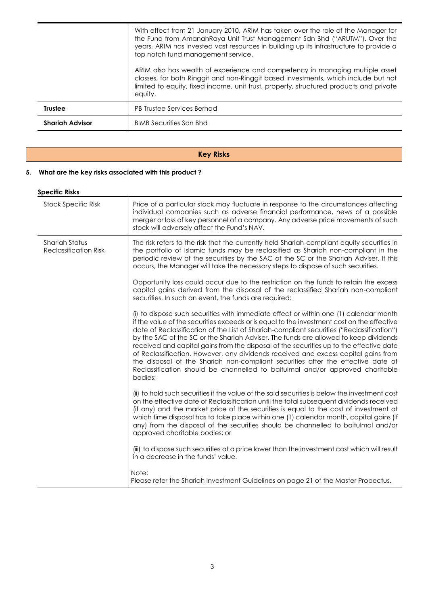|                        | With effect from 21 January 2010, ARIM has taken over the role of the Manager for<br>the Fund from AmanahRaya Unit Trust Management Sdn Bhd ("ARUTM"). Over the<br>years, ARIM has invested vast resources in building up its infrastructure to provide a<br>top notch fund management service.<br>ARIM also has wealth of experience and competency in managing multiple asset<br>classes, for both Ringgit and non-Ringgit based investments, which include but not<br>limited to equity, fixed income, unit trust, property, structured products and private |
|------------------------|-----------------------------------------------------------------------------------------------------------------------------------------------------------------------------------------------------------------------------------------------------------------------------------------------------------------------------------------------------------------------------------------------------------------------------------------------------------------------------------------------------------------------------------------------------------------|
|                        | equity.                                                                                                                                                                                                                                                                                                                                                                                                                                                                                                                                                         |
| <b>Trustee</b>         | <b>PB Trustee Services Berhad</b>                                                                                                                                                                                                                                                                                                                                                                                                                                                                                                                               |
| <b>Shariah Advisor</b> | <b>BIMB Securities Sdn Bhd</b>                                                                                                                                                                                                                                                                                                                                                                                                                                                                                                                                  |

## **Key Risks**

## **5. What are the key risks associated with this product ?**

#### **Specific Risks**

| <b>Stock Specific Risk</b>                            | Price of a particular stock may fluctuate in response to the circumstances affecting<br>individual companies such as adverse financial performance, news of a possible<br>merger or loss of key personnel of a company. Any adverse price movements of such<br>stock will adversely affect the Fund's NAV.                                                                                                                                                                                                                                                                                                                                                                                                                                |
|-------------------------------------------------------|-------------------------------------------------------------------------------------------------------------------------------------------------------------------------------------------------------------------------------------------------------------------------------------------------------------------------------------------------------------------------------------------------------------------------------------------------------------------------------------------------------------------------------------------------------------------------------------------------------------------------------------------------------------------------------------------------------------------------------------------|
| <b>Shariah Status</b><br><b>Reclassification Risk</b> | The risk refers to the risk that the currently held Shariah-compliant equity securities in<br>the portfolio of Islamic funds may be reclassified as Shariah non-compliant in the<br>periodic review of the securities by the SAC of the SC or the Shariah Adviser. If this<br>occurs, the Manager will take the necessary steps to dispose of such securities.                                                                                                                                                                                                                                                                                                                                                                            |
|                                                       | Opportunity loss could occur due to the restriction on the funds to retain the excess<br>capital gains derived from the disposal of the reclassified Shariah non-compliant<br>securities. In such an event, the funds are required:                                                                                                                                                                                                                                                                                                                                                                                                                                                                                                       |
|                                                       | (i) to dispose such securities with immediate effect or within one (1) calendar month<br>if the value of the securities exceeds or is equal to the investment cost on the effective<br>date of Reclassification of the List of Shariah-compliant securities ("Reclassification")<br>by the SAC of the SC or the Shariah Adviser. The funds are allowed to keep dividends<br>received and capital gains from the disposal of the securities up to the effective date<br>of Reclassification. However, any dividends received and excess capital gains from<br>the disposal of the Shariah non-compliant securities after the effective date of<br>Reclassification should be channelled to baitulmal and/or approved charitable<br>bodies; |
|                                                       | (ii) to hold such securities if the value of the said securities is below the investment cost<br>on the effective date of Reclassification until the total subsequent dividends received<br>(if any) and the market price of the securities is equal to the cost of investment at<br>which time disposal has to take place within one (1) calendar month, capital gains (if<br>any) from the disposal of the securities should be channelled to baitulmal and/or<br>approved charitable bodies; or                                                                                                                                                                                                                                        |
|                                                       | (iii) to dispose such securities at a price lower than the investment cost which will result<br>in a decrease in the funds' value.                                                                                                                                                                                                                                                                                                                                                                                                                                                                                                                                                                                                        |
|                                                       | Note:<br>Please refer the Shariah Investment Guidelines on page 21 of the Master Propectus.                                                                                                                                                                                                                                                                                                                                                                                                                                                                                                                                                                                                                                               |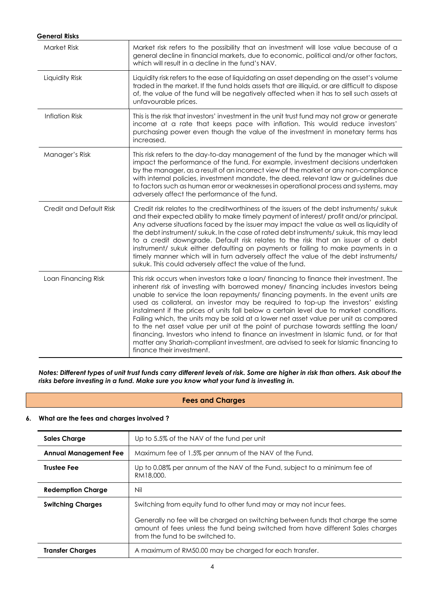| <b>General Risks</b>    |                                                                                                                                                                                                                                                                                                                                                                                                                                                                                                                                                                                                                                                                                                                                                                                                                                                 |
|-------------------------|-------------------------------------------------------------------------------------------------------------------------------------------------------------------------------------------------------------------------------------------------------------------------------------------------------------------------------------------------------------------------------------------------------------------------------------------------------------------------------------------------------------------------------------------------------------------------------------------------------------------------------------------------------------------------------------------------------------------------------------------------------------------------------------------------------------------------------------------------|
| Market Risk             | Market risk refers to the possibility that an investment will lose value because of a<br>general decline in financial markets, due to economic, political and/or other factors,<br>which will result in a decline in the fund's NAV.                                                                                                                                                                                                                                                                                                                                                                                                                                                                                                                                                                                                            |
| Liquidity Risk          | Liquidity risk refers to the ease of liquidating an asset depending on the asset's volume<br>traded in the market. If the fund holds assets that are illiquid, or are difficult to dispose<br>of, the value of the fund will be negatively affected when it has to sell such assets at<br>unfavourable prices.                                                                                                                                                                                                                                                                                                                                                                                                                                                                                                                                  |
| <b>Inflation Risk</b>   | This is the risk that investors' investment in the unit trust fund may not grow or generate<br>income at a rate that keeps pace with inflation. This would reduce investors'<br>purchasing power even though the value of the investment in monetary terms has<br>increased.                                                                                                                                                                                                                                                                                                                                                                                                                                                                                                                                                                    |
| Manager's Risk          | This risk refers to the day-to-day management of the fund by the manager which will<br>impact the performance of the fund. For example, investment decisions undertaken<br>by the manager, as a result of an incorrect view of the market or any non-compliance<br>with internal policies, investment mandate, the deed, relevant law or guidelines due<br>to factors such as human error or weaknesses in operational process and systems, may<br>adversely affect the performance of the fund.                                                                                                                                                                                                                                                                                                                                                |
| Credit and Default Risk | Credit risk relates to the creditworthiness of the issuers of the debt instruments/sukuk<br>and their expected ability to make timely payment of interest/ profit and/or principal.<br>Any adverse situations faced by the issuer may impact the value as well as liquidity of<br>the debt instrument/ sukuk. In the case of rated debt instruments/ sukuk, this may lead<br>to a credit downgrade. Default risk relates to the risk that an issuer of a debt<br>instrument/ sukuk either defaulting on payments or failing to make payments in a<br>timely manner which will in turn adversely affect the value of the debt instruments/<br>sukuk. This could adversely affect the value of the fund.                                                                                                                                          |
| Loan Financing Risk     | This risk occurs when investors take a loan/ financing to finance their investment. The<br>inherent risk of investing with borrowed money/ financing includes investors being<br>unable to service the loan repayments/ financing payments. In the event units are<br>used as collateral, an investor may be required to top-up the investors' existing<br>instalment if the prices of units fall below a certain level due to market conditions.<br>Failing which, the units may be sold at a lower net asset value per unit as compared<br>to the net asset value per unit at the point of purchase towards settling the loan/<br>financing. Investors who intend to finance an investment in Islamic fund, or for that<br>matter any Shariah-compliant investment, are advised to seek for Islamic financing to<br>finance their investment. |

*Notes: Different types of unit trust funds carry different levels of risk. Some are higher in risk than others. Ask about the risks before investing in a fund. Make sure you know what your fund is investing in.*

#### **Fees and Charges**

#### **6. What are the fees and charges involved ?**

| <b>Sales Charge</b>          | Up to 5.5% of the NAV of the fund per unit                                                                                                                                                              |  |  |
|------------------------------|---------------------------------------------------------------------------------------------------------------------------------------------------------------------------------------------------------|--|--|
| <b>Annual Management Fee</b> | Maximum fee of 1.5% per annum of the NAV of the Fund.                                                                                                                                                   |  |  |
| <b>Trustee Fee</b>           | Up to 0.08% per annum of the NAV of the Fund, subject to a minimum fee of<br>RM18,000.                                                                                                                  |  |  |
| <b>Redemption Charge</b>     | Nil                                                                                                                                                                                                     |  |  |
| <b>Switching Charges</b>     | Switching from equity fund to other fund may or may not incur fees.                                                                                                                                     |  |  |
|                              | Generally no fee will be charged on switching between funds that charge the same<br>amount of fees unless the fund being switched from have different Sales charges<br>from the fund to be switched to. |  |  |
| <b>Transfer Charges</b>      | A maximum of RM50.00 may be charged for each transfer.                                                                                                                                                  |  |  |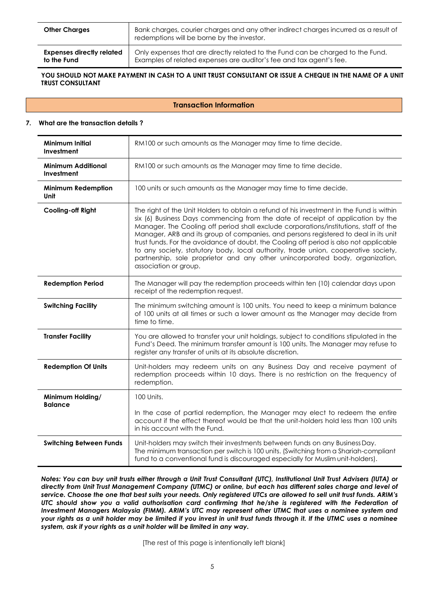| <b>Other Charges</b>             | Bank charges, courier charges and any other indirect charges incurred as a result of<br>redemptions will be borne by the investor. |
|----------------------------------|------------------------------------------------------------------------------------------------------------------------------------|
| <b>Expenses directly related</b> | Only expenses that are directly related to the Fund can be charged to the Fund.                                                    |
| to the Fund                      | Examples of related expenses are auditor's fee and tax agent's fee.                                                                |

#### YOU SHOULD NOT MAKE PAYMENT IN CASH TO A UNIT TRUST CONSULTANT OR ISSUE A CHEQUE IN THE NAME OF A UNIT **TRUST CONSULTANT**

#### **Transaction Information**

#### **7. What are the transaction details ?**

| <b>Minimum Initial</b><br>Investment    | RM100 or such amounts as the Manager may time to time decide.                                                                                                                                                                                                                                                                                                                                                                                                                                                                                                                                                                                         |  |  |  |
|-----------------------------------------|-------------------------------------------------------------------------------------------------------------------------------------------------------------------------------------------------------------------------------------------------------------------------------------------------------------------------------------------------------------------------------------------------------------------------------------------------------------------------------------------------------------------------------------------------------------------------------------------------------------------------------------------------------|--|--|--|
| <b>Minimum Additional</b><br>Investment | RM100 or such amounts as the Manager may time to time decide.                                                                                                                                                                                                                                                                                                                                                                                                                                                                                                                                                                                         |  |  |  |
| <b>Minimum Redemption</b><br>Unit       | 100 units or such amounts as the Manager may time to time decide.                                                                                                                                                                                                                                                                                                                                                                                                                                                                                                                                                                                     |  |  |  |
| Cooling-off Right                       | The right of the Unit Holders to obtain a refund of his investment in the Fund is within<br>six (6) Business Days commencing from the date of receipt of application by the<br>Manager. The Cooling off period shall exclude corporations/institutions, staff of the<br>Manager, ARB and its group of companies, and persons registered to deal in its unit<br>trust funds. For the avoidance of doubt, the Cooling off period is also not applicable<br>to any society, statutory body, local authority, trade union, cooperative society,<br>partnership, sole proprietor and any other unincorporated body, organization,<br>association or group. |  |  |  |
| <b>Redemption Period</b>                | The Manager will pay the redemption proceeds within ten (10) calendar days upon<br>receipt of the redemption request.                                                                                                                                                                                                                                                                                                                                                                                                                                                                                                                                 |  |  |  |
| <b>Switching Facility</b>               | The minimum switching amount is 100 units. You need to keep a minimum balance<br>of 100 units at all times or such a lower amount as the Manager may decide from<br>time to time.                                                                                                                                                                                                                                                                                                                                                                                                                                                                     |  |  |  |
| <b>Transfer Facility</b>                | You are allowed to transfer your unit holdings, subject to conditions stipulated in the<br>Fund's Deed. The minimum transfer amount is 100 units. The Manager may refuse to<br>register any transfer of units at its absolute discretion.                                                                                                                                                                                                                                                                                                                                                                                                             |  |  |  |
| <b>Redemption Of Units</b>              | Unit-holders may redeem units on any Business Day and receive payment of<br>redemption proceeds within 10 days. There is no restriction on the frequency of<br>redemption.                                                                                                                                                                                                                                                                                                                                                                                                                                                                            |  |  |  |
| Minimum Holding/<br><b>Balance</b>      | 100 Units.                                                                                                                                                                                                                                                                                                                                                                                                                                                                                                                                                                                                                                            |  |  |  |
|                                         | In the case of partial redemption, the Manager may elect to redeem the entire<br>account if the effect thereof would be that the unit-holders hold less than 100 units<br>in his account with the Fund.                                                                                                                                                                                                                                                                                                                                                                                                                                               |  |  |  |
| <b>Switching Between Funds</b>          | Unit-holders may switch their investments between funds on any Business Day.<br>The minimum transaction per switch is 100 units. (Switching from a Shariah-compliant<br>fund to a conventional fund is discouraged especially for Muslim unit-holders).                                                                                                                                                                                                                                                                                                                                                                                               |  |  |  |

*Notes: You can buy unit trusts either through a Unit Trust Consultant (UTC), Institutional Unit Trust Advisers (IUTA) or directly from Unit Trust Management Company (UTMC) or online, but each has different sales charge and level of service. Choose the one that best suits your needs. Only registered UTCs are allowed to sell unit trust funds. ARIM's UTC should show you a valid authorisation card confirming that he/she is registered with the Federation of Investment Managers Malaysia (FIMM). ARIM's UTC may represent other UTMC that uses a nominee system and your rights as a unit holder may be limited if you invest in unit trust funds through it. If the UTMC uses a nominee system, ask if your rights as a unit holder will be limited in any way.*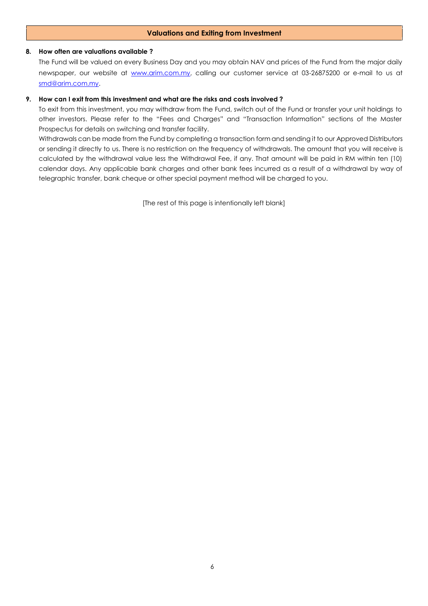#### **Valuations and Exiting from Investment**

#### **8. How often are valuations available ?**

The Fund will be valued on every Business Day and you may obtain NAV and prices of the Fund from the major daily newspaper, our website at [www.arim.com.my,](http://www.arim.com.my/) calling our customer service at 03-26875200 or e-mail to us at [smd@arim.com.my.](mailto:sales@arim.com.my)

#### **9. How can I exit from this investment and what are the risks and costs involved ?**

To exit from this investment, you may withdraw from the Fund, switch out of the Fund or transfer your unit holdings to other investors. Please refer to the "Fees and Charges" and "Transaction Information" sections of the Master Prospectus for details on switching and transfer facility.

Withdrawals can be made from the Fund by completing a transaction form and sending it to our Approved Distributors or sending it directly to us. There is no restriction on the frequency of withdrawals. The amount that you will receive is calculated by the withdrawal value less the Withdrawal Fee, if any. That amount will be paid in RM within ten (10) calendar days. Any applicable bank charges and other bank fees incurred as a result of a withdrawal by way of telegraphic transfer, bank cheque or other special payment method will be charged to you.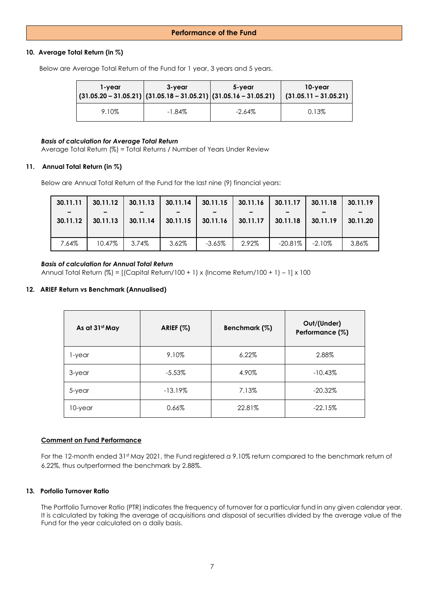#### **Performance of the Fund**

#### **10. Average Total Return (in %)**

Below are Average Total Return of the Fund for 1 year, 3 years and 5 years.

| 1-vear<br>$ (31.05.20 - 31.05.21) (31.05.18 - 31.05.21) (31.05.16 - 31.05.21) $ | 3-vear    | 5-vear    | 10-year<br>$(31.05.11 - 31.05.21)$ |
|---------------------------------------------------------------------------------|-----------|-----------|------------------------------------|
| 9.10%                                                                           | $-1.84\%$ | $-2.64\%$ | 0.13%                              |

#### *Basis of calculation for Average Total Return*

Average Total Return (%) = Total Returns / Number of Years Under Review

#### **11. Annual Total Return (in %)**

Below are Annual Total Return of the Fund for the last nine (9) financial years:

| 30.11.11<br>$\overline{\phantom{0}}$<br>30.11.12 | 30.11.12<br>30.11.13 | 30.11.13<br>30.11.14 | 30.11.14<br>30.11.15 | 30.11.15<br>30.11.16 | 30.11.16<br>30.11.17 | 30.11.17<br>30.11.18 | 30.11.18<br>30.11.19 | 30.11.19<br>30.11.20 |
|--------------------------------------------------|----------------------|----------------------|----------------------|----------------------|----------------------|----------------------|----------------------|----------------------|
|                                                  |                      |                      |                      |                      |                      |                      |                      |                      |
| 7.64%                                            | 10.47%               | 3.74%                | 3.62%                | $-3.65%$             | 2.92%                | $-20.81\%$           | $-2.10\%$            | 3.86%                |

#### *Basis of calculation for Annual Total Return*

Annual Total Return (%) = [(Capital Return/100 + 1) x (Income Return/100 + 1) – 1] x 100

#### **12. ARIEF Return vs Benchmark (Annualised)**

| As at 31st May | ARIEF (%) | Benchmark (%) | Out/(Under)<br>Performance (%) |
|----------------|-----------|---------------|--------------------------------|
| 1-year         | 9.10%     | $6.22\%$      | 2.88%                          |
| 3-year         | $-5.53\%$ | 4.90%         | $-10.43%$                      |
| 5-year         | $-13.19%$ | 7.13%         | $-20.32\%$                     |
| 10-year        | 0.66%     | 22.81%        | $-22.15%$                      |

#### **Comment on Fund Performance**

For the 12-month ended 31st May 2021, the Fund registered a 9.10% return compared to the benchmark return of 6.22%, thus outperformed the benchmark by 2.88%.

#### **13. Porfolio Turnover Ratio**

The Portfolio Turnover Ratio (PTR) indicates the frequency of turnover for a particular fund in any given calendar year. It is calculated by taking the average of acquisitions and disposal of securities divided by the average value of the Fund for the year calculated on a daily basis.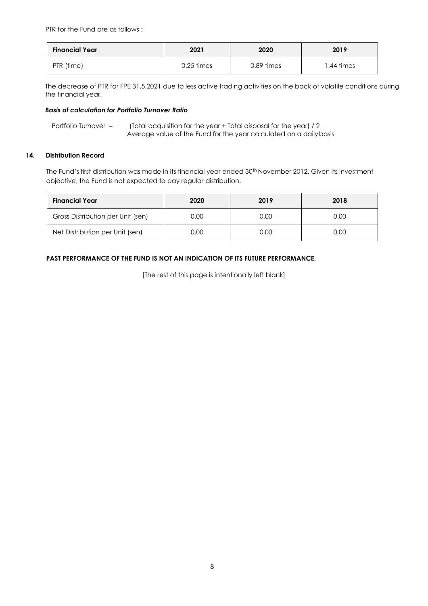PTR for the Fund are as follows :

| <b>Financial Year</b> | 2021         | 2020         | 2019      |  |
|-----------------------|--------------|--------------|-----------|--|
| PTR (time)            | $0.25$ times | $0.89$ times | .44 times |  |

The decrease of PTR for FPE 31.5.2021 due to less active trading activities on the back of volatile conditions during the financial year.

#### *Basis of calculation for Portfolio Turnover Ratio*

Portfolio Turnover = (Total acquisition for the year + Total disposal for the year) / 2 Average value of the Fund for the year calculated on a dailybasis

#### **14. Distribution Record**

The Fund's first distribution was made in its financial year ended 30<sup>th</sup> November 2012. Given its investment objective, the Fund is not expected to pay regular distribution.

| <b>Financial Year</b>             | 2020 | 2019 | 2018 |
|-----------------------------------|------|------|------|
| Gross Distribution per Unit (sen) | 0.00 | 0.00 | 0.00 |
| Net Distribution per Unit (sen)   | 0.00 | 0.00 | 0.00 |

#### **PAST PERFORMANCE OF THE FUND IS NOT AN INDICATION OF ITS FUTURE PERFORMANCE.**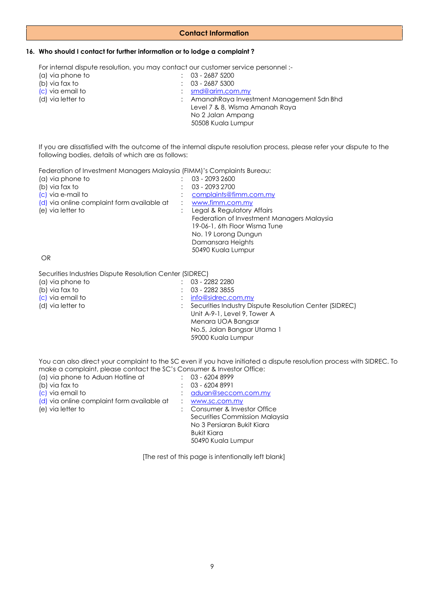#### **Contact Information**

#### **16. Who should I contact for further information or to lodge a complaint ?**

For internal dispute resolution, you may contact our customer service personnel :-

| (a) via phone to  | $: 03 - 26875200$              |                                            |
|-------------------|--------------------------------|--------------------------------------------|
| (b) via fax to    | $: 03 - 26875300$              |                                            |
| (c) via email to  | $:$ smd@arim.com.my            |                                            |
| (d) via letter to |                                | : AmanahRaya Investment Management Sdn Bhd |
|                   | Level 7 & 8, Wisma Amanah Raya |                                            |
|                   | No 2 Jalan Ampang              |                                            |
|                   | 50508 Kuala Lumpur             |                                            |
|                   |                                |                                            |

If you are dissatisfied with the outcome of the internal dispute resolution process, please refer your dispute to the following bodies, details of which are as follows:

Federation of Investment Managers Malaysia (FIMM)'s Complaints Bureau:

| (a) via phone to                           | 03 - 2093 2600                             |
|--------------------------------------------|--------------------------------------------|
| (b) via fax to                             | 03 - 2093 2700                             |
| (c) via e-mail to                          | complaints@fimm.com.my                     |
| (d) via online complaint form available at | www.fimm.com.my                            |
| (e) via letter to                          | Legal & Regulatory Affairs                 |
|                                            | Federation of Investment Managers Malaysia |
|                                            | 19-06-1, 6th Floor Wisma Tune              |
|                                            | No. 19 Lorong Dungun                       |
|                                            | Damansara Heights                          |
|                                            | 50490 Kuala Lumpur                         |
|                                            |                                            |

OR

Securities Industries Dispute Resolution Center (SIDREC)

| (a) via phone to  | 03 - 2282 2280                                         |
|-------------------|--------------------------------------------------------|
| (b) via fax to    | 03 - 2282 3855                                         |
| (c) via email to  | info@sidrec.com.my                                     |
| (d) via letter to | Securities Industry Dispute Resolution Center (SIDREC) |
|                   | Unit A-9-1, Level 9, Tower A                           |
|                   | Menara UOA Bangsar                                     |
|                   | No.5, Jalan Bangsar Utama 1                            |
|                   | 59000 Kuala Lumpur                                     |
|                   |                                                        |

You can also direct your complaint to the SC even if you have initiated a dispute resolution process with SIDREC. To make a complaint, please contact the SC's Consumer & Investor Office:

| (a) via phone to Aduan Hotline at          | $: 03 - 62048999$              |
|--------------------------------------------|--------------------------------|
| (b) via fax to                             | 03 - 6204 8991                 |
| (c) via email to                           | aduan@seccom.com.my            |
| (d) via online complaint form available at | www.sc.com.my                  |
| (e) via letter to                          | : Consumer & Investor Office   |
|                                            | Securities Commission Malaysia |
|                                            | No 3 Persiaran Bukit Kiara     |
|                                            | <b>Bukit Kiara</b>             |
|                                            | 50490 Kuala Lumpur             |
|                                            |                                |